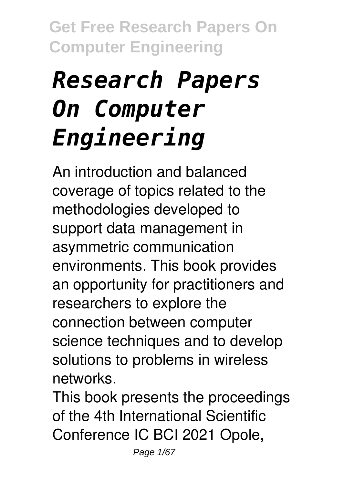# *Research Papers On Computer Engineering*

An introduction and balanced coverage of topics related to the methodologies developed to support data management in asymmetric communication environments. This book provides an opportunity for practitioners and researchers to explore the connection between computer science techniques and to develop solutions to problems in wireless networks.

This book presents the proceedings of the 4th International Scientific Conference IC BCI 2021 Opole,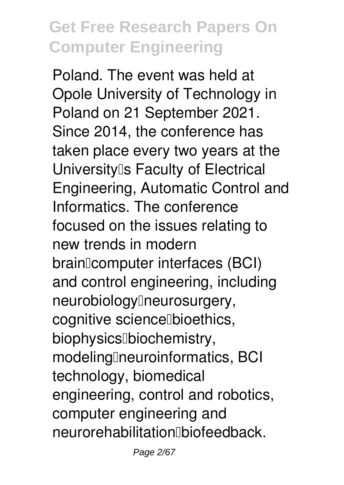Poland. The event was held at Opole University of Technology in Poland on 21 September 2021. Since 2014, the conference has taken place every two years at the University<sup>[]</sup>s Faculty of Electrical Engineering, Automatic Control and Informatics. The conference focused on the issues relating to new trends in modern brainlcomputer interfaces (BCI) and control engineering, including neurobiology<sup>[</sup>neurosurgery, cognitive science Dioethics, biophysics<sup>[]</sup>biochemistry, modeling neuroinformatics, BCI technology, biomedical engineering, control and robotics, computer engineering and neurorehabilitation biofeedback.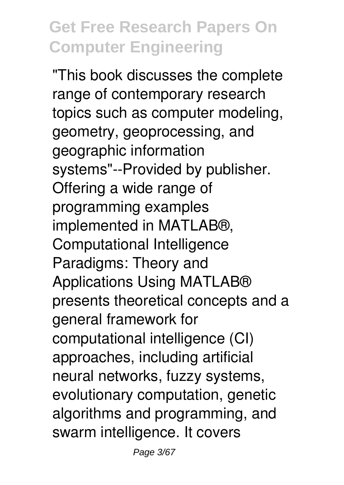"This book discusses the complete range of contemporary research topics such as computer modeling, geometry, geoprocessing, and geographic information systems"--Provided by publisher. Offering a wide range of programming examples implemented in MATLAB®, Computational Intelligence Paradigms: Theory and Applications Using MATLAB® presents theoretical concepts and a general framework for computational intelligence (CI) approaches, including artificial neural networks, fuzzy systems, evolutionary computation, genetic algorithms and programming, and swarm intelligence. It covers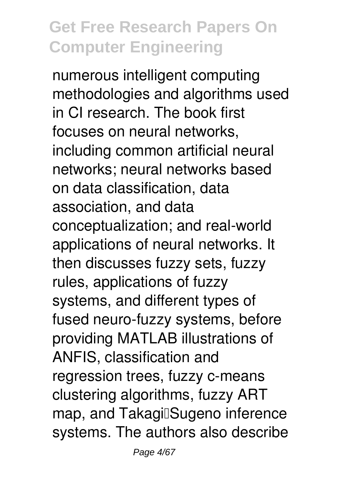numerous intelligent computing methodologies and algorithms used in CI research. The book first focuses on neural networks, including common artificial neural networks; neural networks based on data classification, data association, and data conceptualization; and real-world applications of neural networks. It then discusses fuzzy sets, fuzzy rules, applications of fuzzy systems, and different types of fused neuro-fuzzy systems, before providing MATLAB illustrations of ANFIS, classification and regression trees, fuzzy c-means clustering algorithms, fuzzy ART map, and Takagil Sugeno inference systems. The authors also describe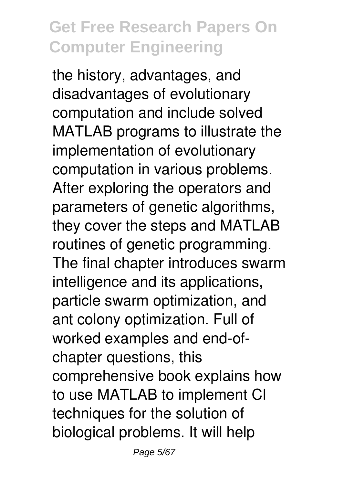the history, advantages, and disadvantages of evolutionary computation and include solved MATLAB programs to illustrate the implementation of evolutionary computation in various problems. After exploring the operators and parameters of genetic algorithms, they cover the steps and MATLAB routines of genetic programming. The final chapter introduces swarm intelligence and its applications, particle swarm optimization, and ant colony optimization. Full of worked examples and end-ofchapter questions, this comprehensive book explains how to use MATLAB to implement CI techniques for the solution of biological problems. It will help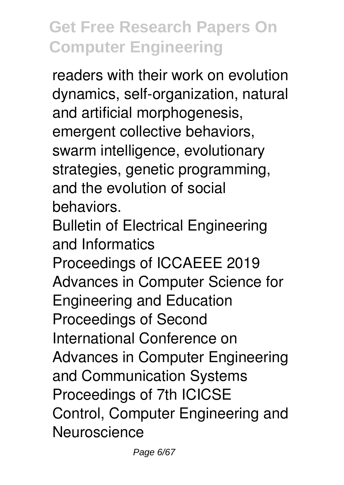readers with their work on evolution dynamics, self-organization, natural and artificial morphogenesis, emergent collective behaviors, swarm intelligence, evolutionary strategies, genetic programming, and the evolution of social behaviors.

Bulletin of Electrical Engineering and Informatics

Proceedings of ICCAEEE 2019 Advances in Computer Science for Engineering and Education Proceedings of Second International Conference on Advances in Computer Engineering and Communication Systems Proceedings of 7th ICICSE Control, Computer Engineering and **Neuroscience**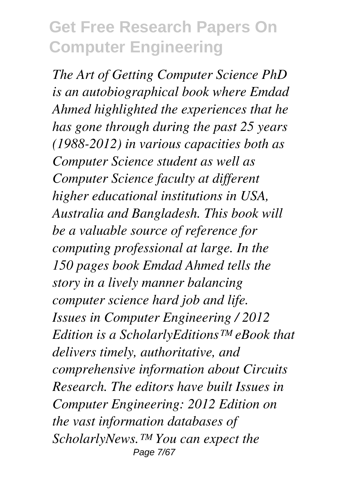*The Art of Getting Computer Science PhD is an autobiographical book where Emdad Ahmed highlighted the experiences that he has gone through during the past 25 years (1988-2012) in various capacities both as Computer Science student as well as Computer Science faculty at different higher educational institutions in USA, Australia and Bangladesh. This book will be a valuable source of reference for computing professional at large. In the 150 pages book Emdad Ahmed tells the story in a lively manner balancing computer science hard job and life. Issues in Computer Engineering / 2012 Edition is a ScholarlyEditions™ eBook that delivers timely, authoritative, and comprehensive information about Circuits Research. The editors have built Issues in Computer Engineering: 2012 Edition on the vast information databases of ScholarlyNews.™ You can expect the* Page 7/67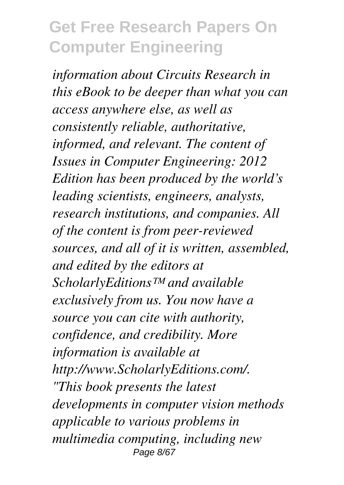*information about Circuits Research in this eBook to be deeper than what you can access anywhere else, as well as consistently reliable, authoritative, informed, and relevant. The content of Issues in Computer Engineering: 2012 Edition has been produced by the world's leading scientists, engineers, analysts, research institutions, and companies. All of the content is from peer-reviewed sources, and all of it is written, assembled, and edited by the editors at ScholarlyEditions™ and available exclusively from us. You now have a source you can cite with authority, confidence, and credibility. More information is available at http://www.ScholarlyEditions.com/. "This book presents the latest developments in computer vision methods applicable to various problems in multimedia computing, including new* Page 8/67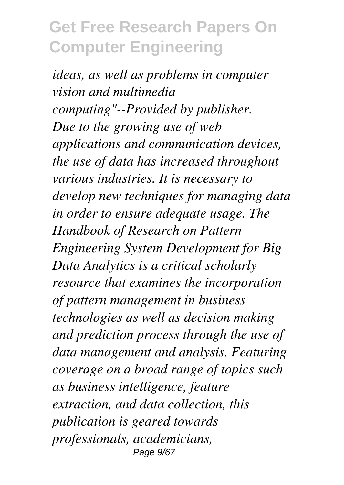*ideas, as well as problems in computer vision and multimedia computing"--Provided by publisher. Due to the growing use of web applications and communication devices, the use of data has increased throughout various industries. It is necessary to develop new techniques for managing data in order to ensure adequate usage. The Handbook of Research on Pattern Engineering System Development for Big Data Analytics is a critical scholarly resource that examines the incorporation of pattern management in business technologies as well as decision making and prediction process through the use of data management and analysis. Featuring coverage on a broad range of topics such as business intelligence, feature extraction, and data collection, this publication is geared towards professionals, academicians,* Page 9/67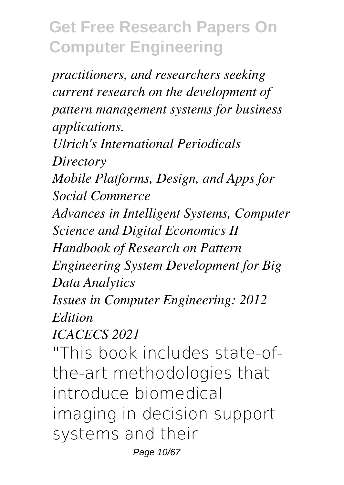*practitioners, and researchers seeking current research on the development of pattern management systems for business applications. Ulrich's International Periodicals Directory Mobile Platforms, Design, and Apps for Social Commerce Advances in Intelligent Systems, Computer Science and Digital Economics II Handbook of Research on Pattern Engineering System Development for Big Data Analytics Issues in Computer Engineering: 2012 Edition ICACECS 2021* "This book includes state-ofthe-art methodologies that introduce biomedical imaging in decision support systems and their

Page 10/67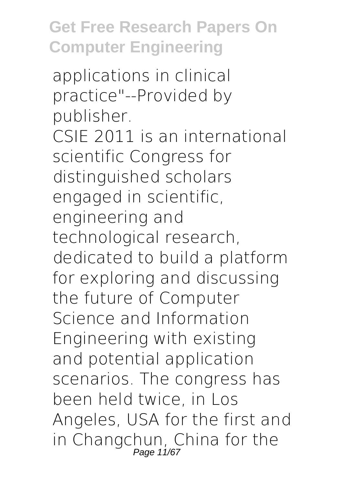applications in clinical practice"--Provided by publisher. CSIE 2011 is an international scientific Congress for distinguished scholars engaged in scientific, engineering and technological research, dedicated to build a platform for exploring and discussing the future of Computer Science and Information Engineering with existing and potential application scenarios. The congress has been held twice, in Los Angeles, USA for the first and in Changchun, China for the Page 11/67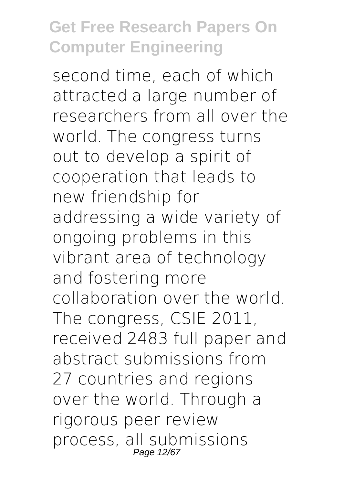second time, each of which attracted a large number of researchers from all over the world. The congress turns out to develop a spirit of cooperation that leads to new friendship for addressing a wide variety of ongoing problems in this vibrant area of technology and fostering more collaboration over the world. The congress, CSIE 2011, received 2483 full paper and abstract submissions from 27 countries and regions over the world. Through a rigorous peer review process, all submissions Page 12/6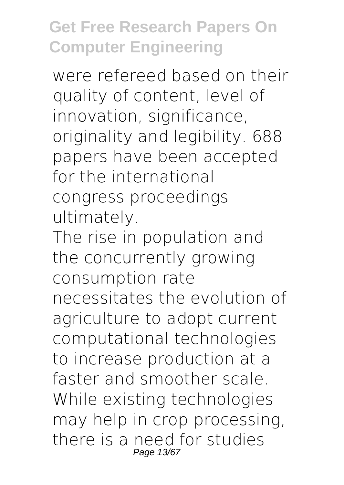were refereed based on their quality of content, level of innovation, significance, originality and legibility. 688 papers have been accepted for the international congress proceedings ultimately.

The rise in population and the concurrently growing consumption rate necessitates the evolution of agriculture to adopt current computational technologies to increase production at a faster and smoother scale. While existing technologies may help in crop processing, there is a need for studies Page 13/6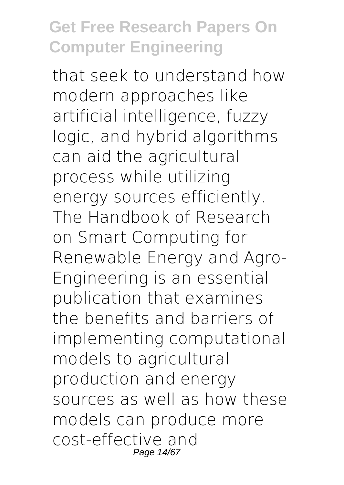that seek to understand how modern approaches like artificial intelligence, fuzzy logic, and hybrid algorithms can aid the agricultural process while utilizing energy sources efficiently. The Handbook of Research on Smart Computing for Renewable Energy and Agro-Engineering is an essential publication that examines the benefits and barriers of implementing computational models to agricultural production and energy sources as well as how these models can produce more cost-effective and Page 14/67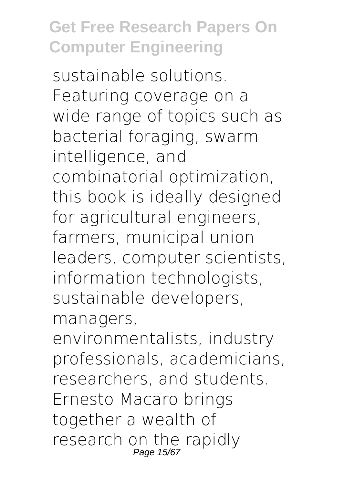sustainable solutions. Featuring coverage on a wide range of topics such as bacterial foraging, swarm intelligence, and combinatorial optimization, this book is ideally designed for agricultural engineers, farmers, municipal union leaders, computer scientists, information technologists, sustainable developers, managers,

environmentalists, industry professionals, academicians, researchers, and students. Ernesto Macaro brings together a wealth of research on the rapidly Page 15/6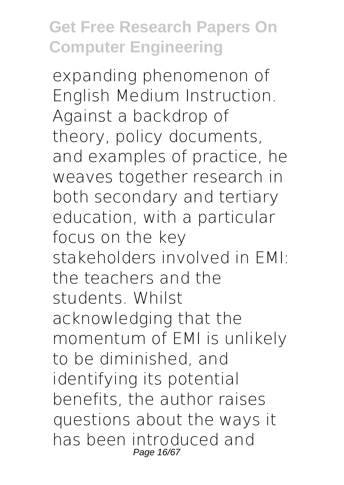expanding phenomenon of English Medium Instruction. Against a backdrop of theory, policy documents, and examples of practice, he weaves together research in both secondary and tertiary education, with a particular focus on the key stakeholders involved in EMI: the teachers and the students. Whilst acknowledging that the momentum of EMI is unlikely to be diminished, and identifying its potential benefits, the author raises questions about the ways it has been introduced and Page 16/6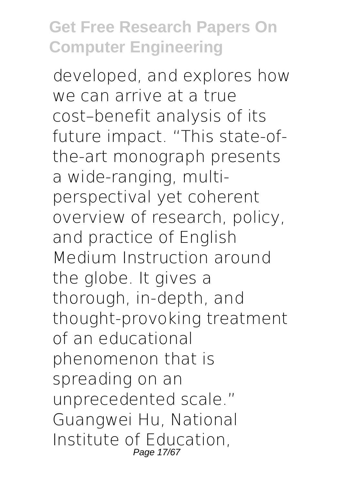developed, and explores how we can arrive at a true cost–benefit analysis of its future impact. "This state-ofthe-art monograph presents a wide-ranging, multiperspectival yet coherent overview of research, policy, and practice of English Medium Instruction around the globe. It gives a thorough, in-depth, and thought-provoking treatment of an educational phenomenon that is spreading on an unprecedented scale." Guangwei Hu, National Institute of Education, Page 17/67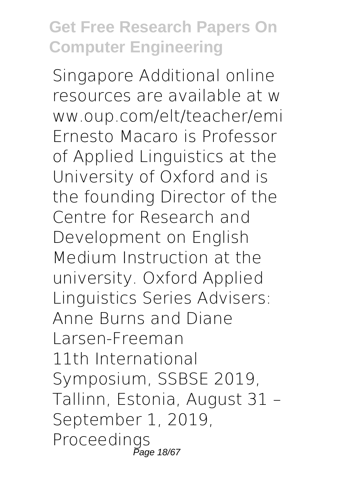Singapore Additional online resources are available at w ww.oup.com/elt/teacher/emi Ernesto Macaro is Professor of Applied Linguistics at the University of Oxford and is the founding Director of the Centre for Research and Development on English Medium Instruction at the university. Oxford Applied Linguistics Series Advisers: Anne Burns and Diane Larsen-Freeman 11th International Symposium, SSBSE 2019, Tallinn, Estonia, August 31 – September 1, 2019, Proceedings Page 18/67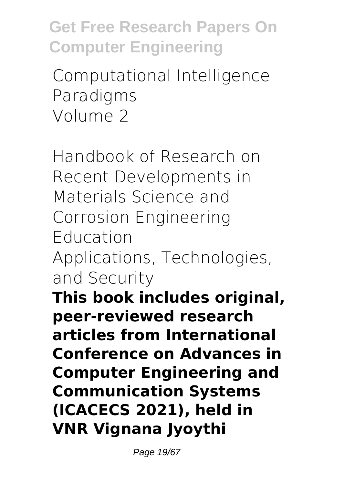Computational Intelligence Paradigms Volume 2

Handbook of Research on Recent Developments in Materials Science and Corrosion Engineering Education Applications, Technologies, and Security

**This book includes original, peer-reviewed research articles from International Conference on Advances in Computer Engineering and Communication Systems (ICACECS 2021), held in VNR Vignana Jyoythi**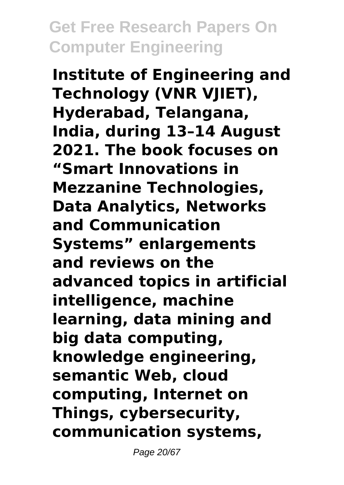**Institute of Engineering and Technology (VNR VJIET), Hyderabad, Telangana, India, during 13–14 August 2021. The book focuses on "Smart Innovations in Mezzanine Technologies, Data Analytics, Networks and Communication Systems" enlargements and reviews on the advanced topics in artificial intelligence, machine learning, data mining and big data computing, knowledge engineering, semantic Web, cloud computing, Internet on Things, cybersecurity, communication systems,**

Page 20/67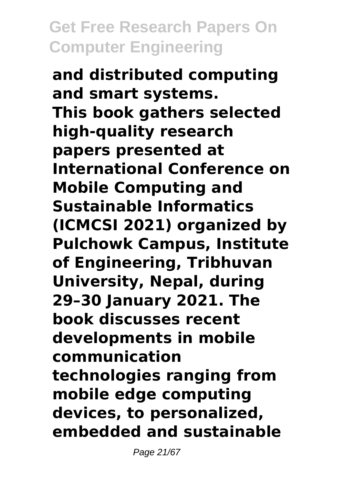**and distributed computing and smart systems. This book gathers selected high-quality research papers presented at International Conference on Mobile Computing and Sustainable Informatics (ICMCSI 2021) organized by Pulchowk Campus, Institute of Engineering, Tribhuvan University, Nepal, during 29–30 January 2021. The book discusses recent developments in mobile communication technologies ranging from mobile edge computing devices, to personalized, embedded and sustainable**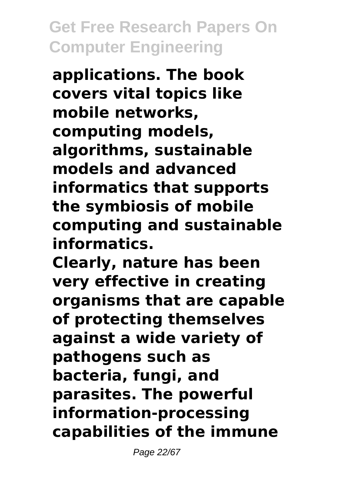**applications. The book covers vital topics like mobile networks, computing models, algorithms, sustainable models and advanced informatics that supports the symbiosis of mobile computing and sustainable informatics.**

**Clearly, nature has been very effective in creating organisms that are capable of protecting themselves against a wide variety of pathogens such as bacteria, fungi, and parasites. The powerful information-processing capabilities of the immune**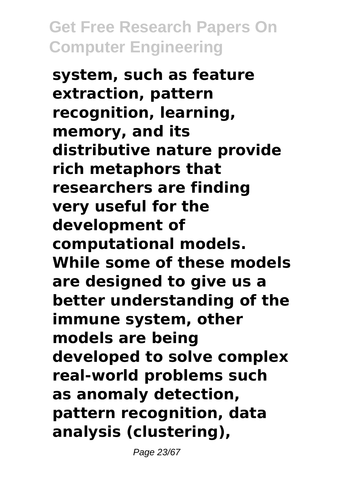**system, such as feature extraction, pattern recognition, learning, memory, and its distributive nature provide rich metaphors that researchers are finding very useful for the development of computational models. While some of these models are designed to give us a better understanding of the immune system, other models are being developed to solve complex real-world problems such as anomaly detection, pattern recognition, data analysis (clustering),**

Page 23/67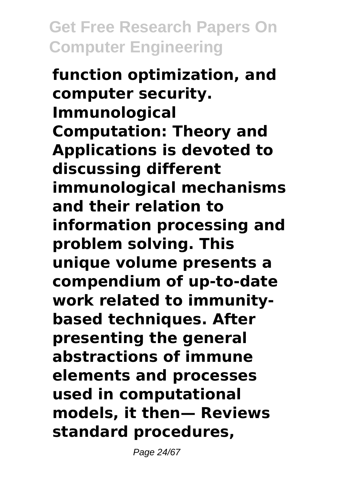**function optimization, and computer security. Immunological Computation: Theory and Applications is devoted to discussing different immunological mechanisms and their relation to information processing and problem solving. This unique volume presents a compendium of up-to-date work related to immunitybased techniques. After presenting the general abstractions of immune elements and processes used in computational models, it then— Reviews standard procedures,**

Page 24/67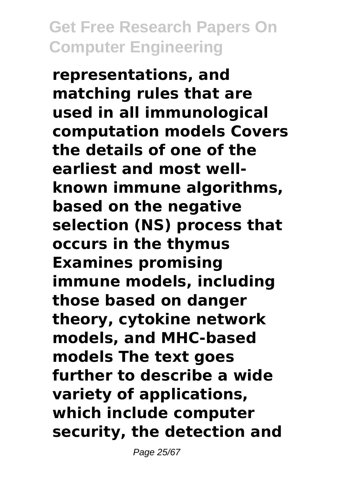**representations, and matching rules that are used in all immunological computation models Covers the details of one of the earliest and most wellknown immune algorithms, based on the negative selection (NS) process that occurs in the thymus Examines promising immune models, including those based on danger theory, cytokine network models, and MHC-based models The text goes further to describe a wide variety of applications, which include computer security, the detection and**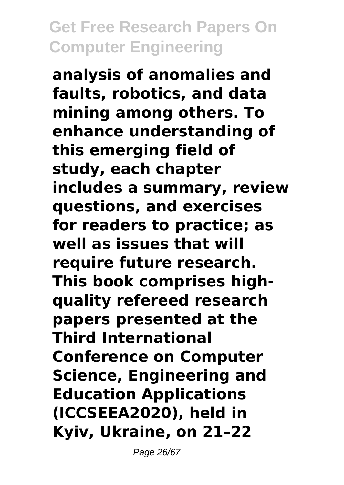**analysis of anomalies and faults, robotics, and data mining among others. To enhance understanding of this emerging field of study, each chapter includes a summary, review questions, and exercises for readers to practice; as well as issues that will require future research. This book comprises highquality refereed research papers presented at the Third International Conference on Computer Science, Engineering and Education Applications (ICCSEEA2020), held in Kyiv, Ukraine, on 21–22**

Page 26/67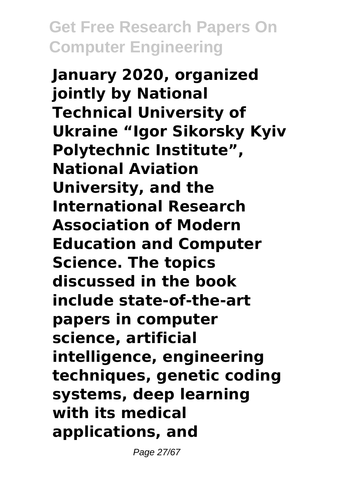**January 2020, organized jointly by National Technical University of Ukraine "Igor Sikorsky Kyiv Polytechnic Institute", National Aviation University, and the International Research Association of Modern Education and Computer Science. The topics discussed in the book include state-of-the-art papers in computer science, artificial intelligence, engineering techniques, genetic coding systems, deep learning with its medical applications, and**

Page 27/67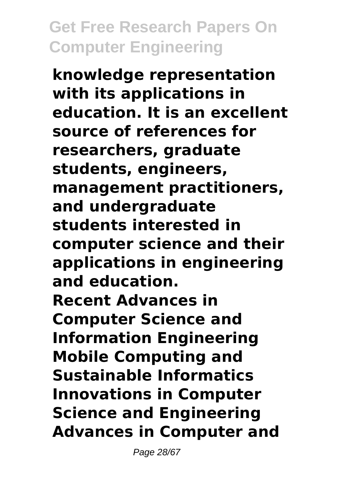**knowledge representation with its applications in education. It is an excellent source of references for researchers, graduate students, engineers, management practitioners, and undergraduate students interested in computer science and their applications in engineering and education. Recent Advances in Computer Science and Information Engineering Mobile Computing and Sustainable Informatics Innovations in Computer Science and Engineering Advances in Computer and**

Page 28/67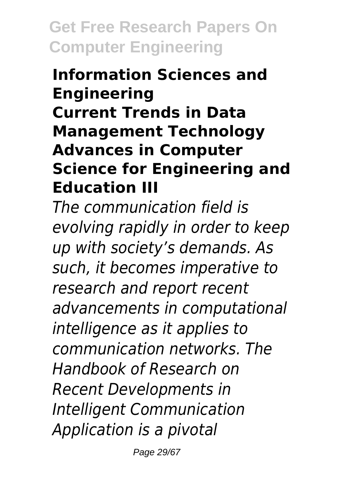#### **Information Sciences and Engineering Current Trends in Data Management Technology Advances in Computer Science for Engineering and Education III**

*The communication field is evolving rapidly in order to keep up with society's demands. As such, it becomes imperative to research and report recent advancements in computational intelligence as it applies to communication networks. The Handbook of Research on Recent Developments in Intelligent Communication Application is a pivotal*

Page 29/67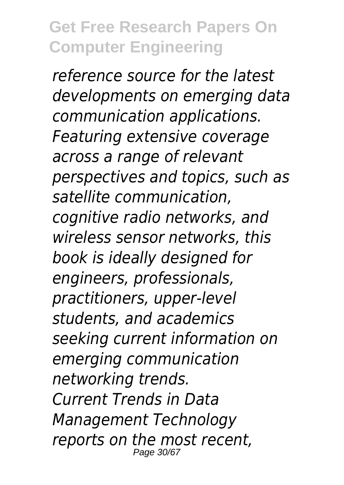*reference source for the latest developments on emerging data communication applications. Featuring extensive coverage across a range of relevant perspectives and topics, such as satellite communication, cognitive radio networks, and wireless sensor networks, this book is ideally designed for engineers, professionals, practitioners, upper-level students, and academics seeking current information on emerging communication networking trends. Current Trends in Data Management Technology reports on the most recent,* Page 30/67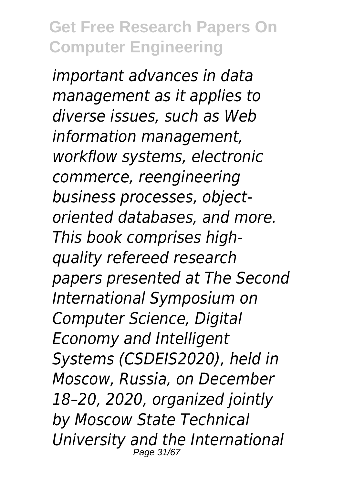*important advances in data management as it applies to diverse issues, such as Web information management, workflow systems, electronic commerce, reengineering business processes, objectoriented databases, and more. This book comprises highquality refereed research papers presented at The Second International Symposium on Computer Science, Digital Economy and Intelligent Systems (CSDEIS2020), held in Moscow, Russia, on December 18–20, 2020, organized jointly by Moscow State Technical University and the International* Page 31/67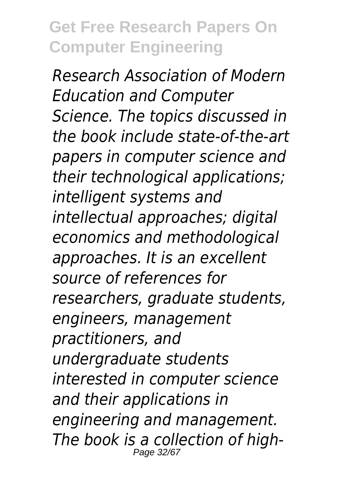*Research Association of Modern Education and Computer Science. The topics discussed in the book include state-of-the-art papers in computer science and their technological applications; intelligent systems and intellectual approaches; digital economics and methodological approaches. It is an excellent source of references for researchers, graduate students, engineers, management practitioners, and undergraduate students interested in computer science and their applications in engineering and management. The book is a collection of high-*Page 32/6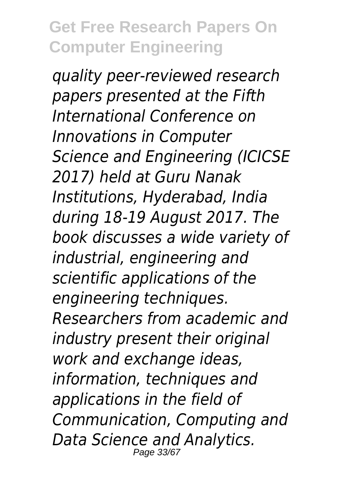*quality peer-reviewed research papers presented at the Fifth International Conference on Innovations in Computer Science and Engineering (ICICSE 2017) held at Guru Nanak Institutions, Hyderabad, India during 18-19 August 2017. The book discusses a wide variety of industrial, engineering and scientific applications of the engineering techniques. Researchers from academic and industry present their original work and exchange ideas, information, techniques and applications in the field of Communication, Computing and Data Science and Analytics.* Page 33/6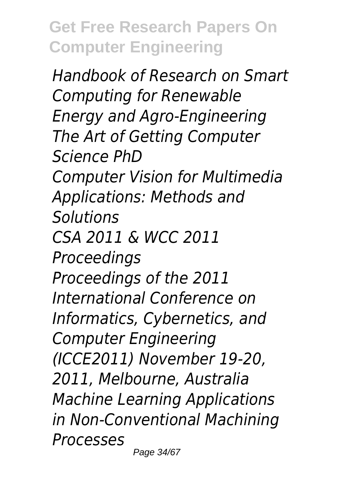*Handbook of Research on Smart Computing for Renewable Energy and Agro-Engineering The Art of Getting Computer Science PhD Computer Vision for Multimedia Applications: Methods and Solutions CSA 2011 & WCC 2011 Proceedings Proceedings of the 2011 International Conference on Informatics, Cybernetics, and Computer Engineering (ICCE2011) November 19-20, 2011, Melbourne, Australia Machine Learning Applications in Non-Conventional Machining Processes*

Page 34/67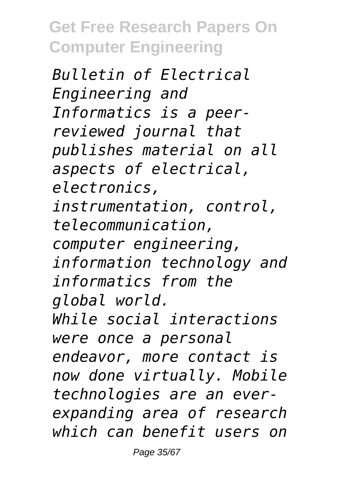*Bulletin of Electrical Engineering and Informatics is a peerreviewed journal that publishes material on all aspects of electrical, electronics, instrumentation, control, telecommunication, computer engineering, information technology and informatics from the global world. While social interactions were once a personal endeavor, more contact is now done virtually. Mobile technologies are an everexpanding area of research which can benefit users on*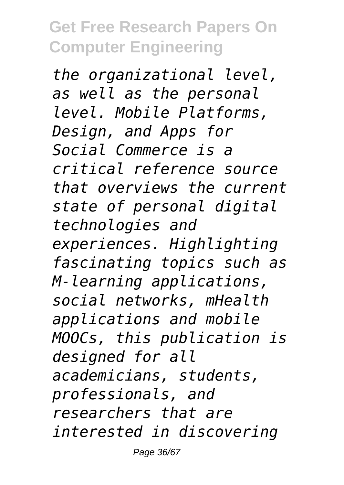*the organizational level, as well as the personal level. Mobile Platforms, Design, and Apps for Social Commerce is a critical reference source that overviews the current state of personal digital technologies and experiences. Highlighting fascinating topics such as M-learning applications, social networks, mHealth applications and mobile MOOCs, this publication is designed for all academicians, students, professionals, and researchers that are interested in discovering*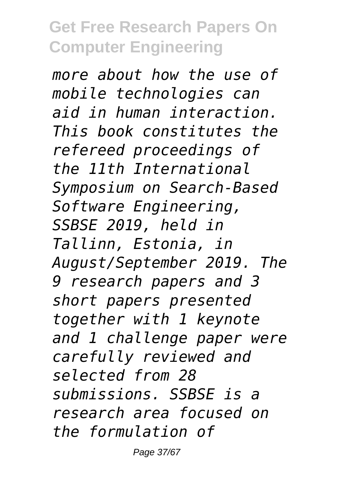*more about how the use of mobile technologies can aid in human interaction. This book constitutes the refereed proceedings of the 11th International Symposium on Search-Based Software Engineering, SSBSE 2019, held in Tallinn, Estonia, in August/September 2019. The 9 research papers and 3 short papers presented together with 1 keynote and 1 challenge paper were carefully reviewed and selected from 28 submissions. SSBSE is a research area focused on the formulation of*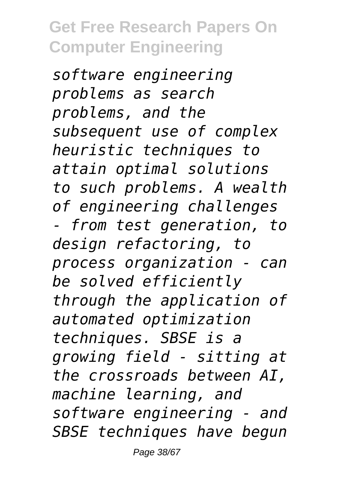*software engineering problems as search problems, and the subsequent use of complex heuristic techniques to attain optimal solutions to such problems. A wealth of engineering challenges - from test generation, to design refactoring, to process organization - can be solved efficiently through the application of automated optimization techniques. SBSE is a growing field - sitting at the crossroads between AI, machine learning, and software engineering - and SBSE techniques have begun*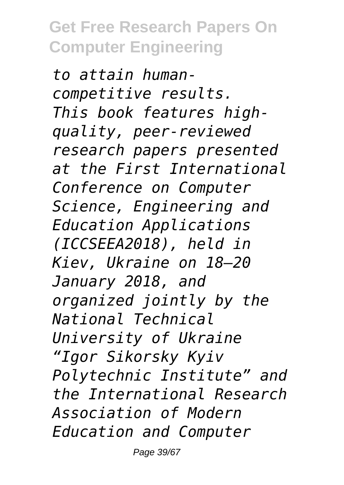*to attain humancompetitive results. This book features highquality, peer-reviewed research papers presented at the First International Conference on Computer Science, Engineering and Education Applications (ICCSEEA2018), held in Kiev, Ukraine on 18–20 January 2018, and organized jointly by the National Technical University of Ukraine "Igor Sikorsky Kyiv Polytechnic Institute" and the International Research Association of Modern Education and Computer*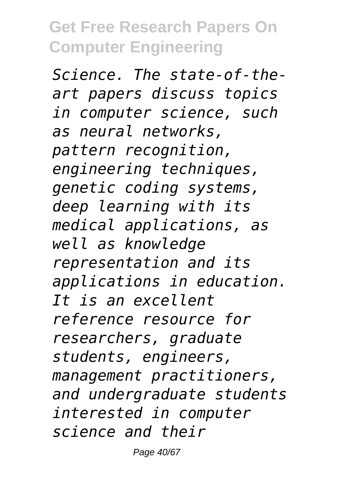*Science. The state-of-theart papers discuss topics in computer science, such as neural networks, pattern recognition, engineering techniques, genetic coding systems, deep learning with its medical applications, as well as knowledge representation and its applications in education. It is an excellent reference resource for researchers, graduate students, engineers, management practitioners, and undergraduate students interested in computer science and their*

Page 40/67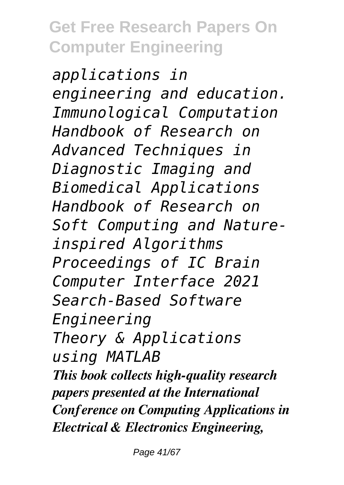*applications in engineering and education. Immunological Computation Handbook of Research on Advanced Techniques in Diagnostic Imaging and Biomedical Applications Handbook of Research on Soft Computing and Natureinspired Algorithms Proceedings of IC Brain Computer Interface 2021 Search-Based Software Engineering Theory & Applications using MATLAB This book collects high-quality research papers presented at the International Conference on Computing Applications in Electrical & Electronics Engineering,*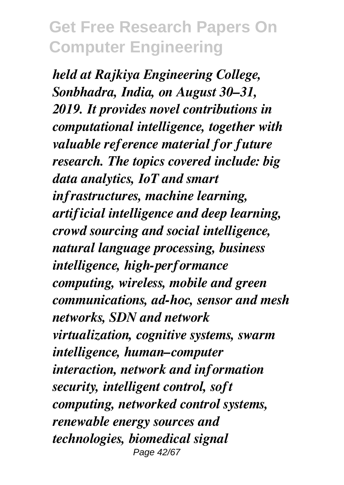*held at Rajkiya Engineering College, Sonbhadra, India, on August 30–31, 2019. It provides novel contributions in computational intelligence, together with valuable reference material for future research. The topics covered include: big data analytics, IoT and smart infrastructures, machine learning, artificial intelligence and deep learning, crowd sourcing and social intelligence, natural language processing, business intelligence, high-performance computing, wireless, mobile and green communications, ad-hoc, sensor and mesh networks, SDN and network virtualization, cognitive systems, swarm intelligence, human–computer interaction, network and information security, intelligent control, soft computing, networked control systems, renewable energy sources and technologies, biomedical signal* Page 42/67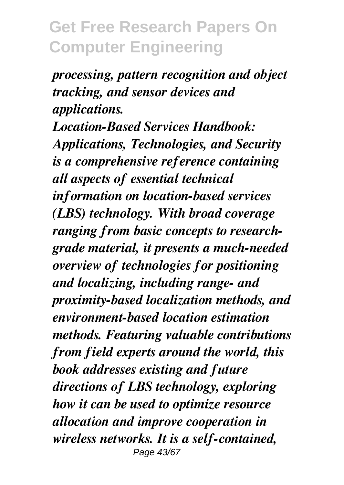*processing, pattern recognition and object tracking, and sensor devices and applications.*

*Location-Based Services Handbook: Applications, Technologies, and Security is a comprehensive reference containing all aspects of essential technical information on location-based services (LBS) technology. With broad coverage ranging from basic concepts to researchgrade material, it presents a much-needed overview of technologies for positioning and localizing, including range- and proximity-based localization methods, and environment-based location estimation methods. Featuring valuable contributions from field experts around the world, this book addresses existing and future directions of LBS technology, exploring how it can be used to optimize resource allocation and improve cooperation in wireless networks. It is a self-contained,* Page 43/67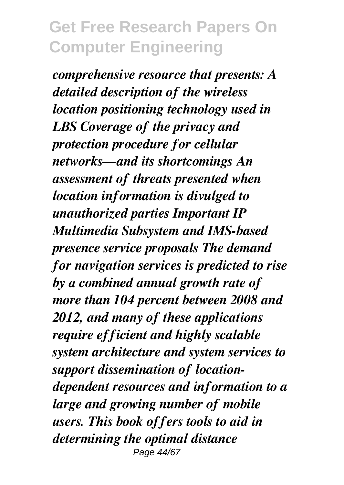*comprehensive resource that presents: A detailed description of the wireless location positioning technology used in LBS Coverage of the privacy and protection procedure for cellular networks—and its shortcomings An assessment of threats presented when location information is divulged to unauthorized parties Important IP Multimedia Subsystem and IMS-based presence service proposals The demand for navigation services is predicted to rise by a combined annual growth rate of more than 104 percent between 2008 and 2012, and many of these applications require efficient and highly scalable system architecture and system services to support dissemination of locationdependent resources and information to a large and growing number of mobile users. This book offers tools to aid in determining the optimal distance* Page 44/67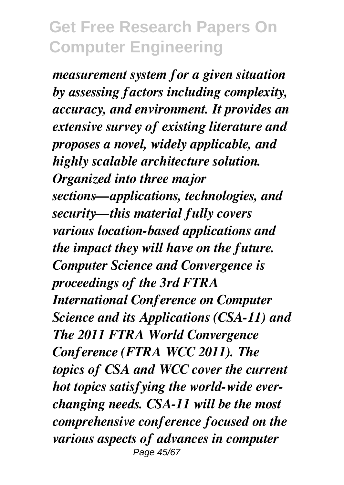*measurement system for a given situation by assessing factors including complexity, accuracy, and environment. It provides an extensive survey of existing literature and proposes a novel, widely applicable, and highly scalable architecture solution. Organized into three major sections—applications, technologies, and security—this material fully covers various location-based applications and the impact they will have on the future. Computer Science and Convergence is proceedings of the 3rd FTRA International Conference on Computer Science and its Applications (CSA-11) and The 2011 FTRA World Convergence Conference (FTRA WCC 2011). The topics of CSA and WCC cover the current hot topics satisfying the world-wide everchanging needs. CSA-11 will be the most comprehensive conference focused on the various aspects of advances in computer* Page 45/67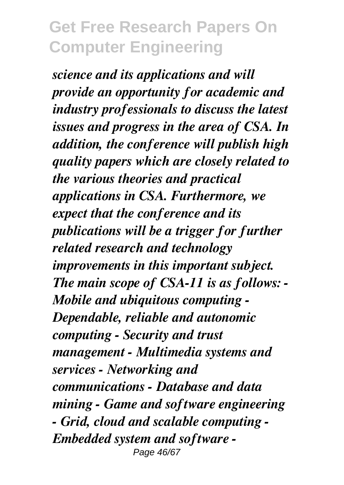*science and its applications and will provide an opportunity for academic and industry professionals to discuss the latest issues and progress in the area of CSA. In addition, the conference will publish high quality papers which are closely related to the various theories and practical applications in CSA. Furthermore, we expect that the conference and its publications will be a trigger for further related research and technology improvements in this important subject. The main scope of CSA-11 is as follows: - Mobile and ubiquitous computing - Dependable, reliable and autonomic computing - Security and trust management - Multimedia systems and services - Networking and communications - Database and data mining - Game and software engineering - Grid, cloud and scalable computing - Embedded system and software -* Page 46/67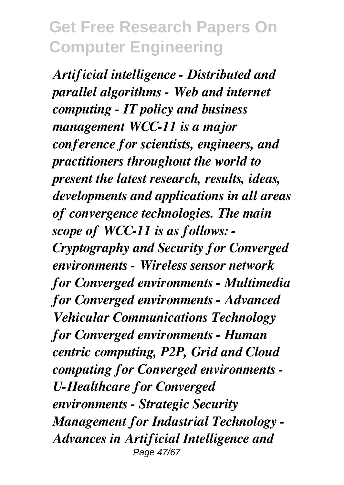*Artificial intelligence - Distributed and parallel algorithms - Web and internet computing - IT policy and business management WCC-11 is a major conference for scientists, engineers, and practitioners throughout the world to present the latest research, results, ideas, developments and applications in all areas of convergence technologies. The main scope of WCC-11 is as follows: - Cryptography and Security for Converged environments - Wireless sensor network for Converged environments - Multimedia for Converged environments - Advanced Vehicular Communications Technology for Converged environments - Human centric computing, P2P, Grid and Cloud computing for Converged environments - U-Healthcare for Converged environments - Strategic Security Management for Industrial Technology - Advances in Artificial Intelligence and* Page 47/67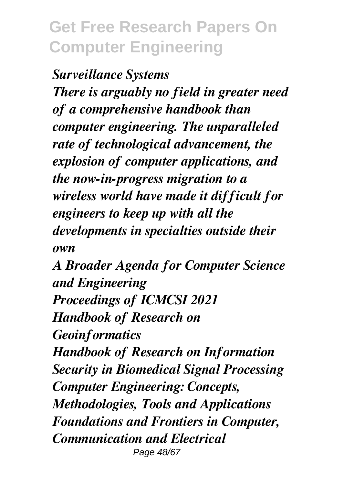*Surveillance Systems There is arguably no field in greater need of a comprehensive handbook than computer engineering. The unparalleled rate of technological advancement, the explosion of computer applications, and the now-in-progress migration to a wireless world have made it difficult for engineers to keep up with all the developments in specialties outside their own*

*A Broader Agenda for Computer Science and Engineering Proceedings of ICMCSI 2021 Handbook of Research on Geoinformatics Handbook of Research on Information Security in Biomedical Signal Processing Computer Engineering: Concepts, Methodologies, Tools and Applications Foundations and Frontiers in Computer, Communication and Electrical* Page 48/67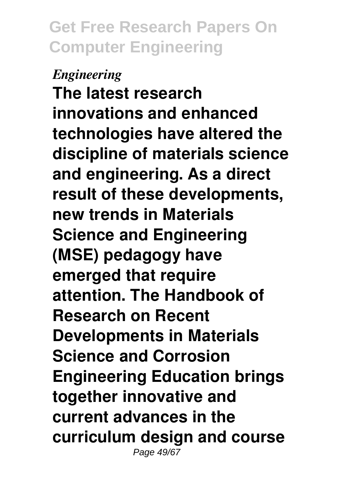#### *Engineering*

**The latest research innovations and enhanced technologies have altered the discipline of materials science and engineering. As a direct result of these developments, new trends in Materials Science and Engineering (MSE) pedagogy have emerged that require attention. The Handbook of Research on Recent Developments in Materials Science and Corrosion Engineering Education brings together innovative and current advances in the curriculum design and course** Page 49/67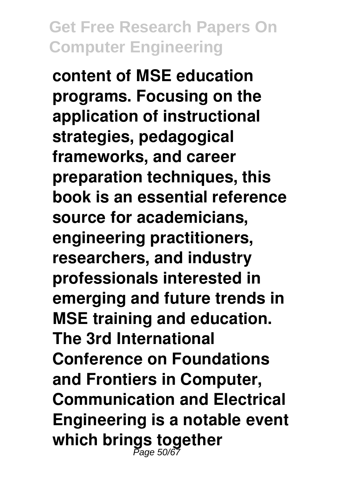**content of MSE education programs. Focusing on the application of instructional strategies, pedagogical frameworks, and career preparation techniques, this book is an essential reference source for academicians, engineering practitioners, researchers, and industry professionals interested in emerging and future trends in MSE training and education. The 3rd International Conference on Foundations and Frontiers in Computer, Communication and Electrical Engineering is a notable event which brings together** Page 50/67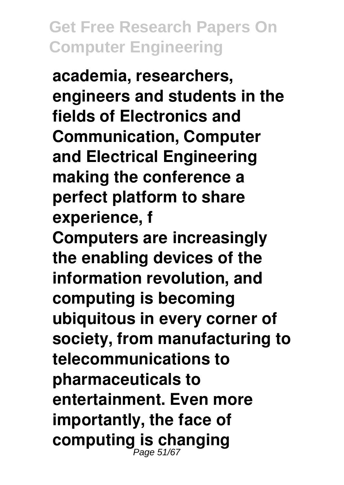**academia, researchers, engineers and students in the fields of Electronics and Communication, Computer and Electrical Engineering making the conference a perfect platform to share experience, f**

**Computers are increasingly the enabling devices of the information revolution, and computing is becoming ubiquitous in every corner of society, from manufacturing to telecommunications to pharmaceuticals to entertainment. Even more importantly, the face of computing is changing** Page 51/67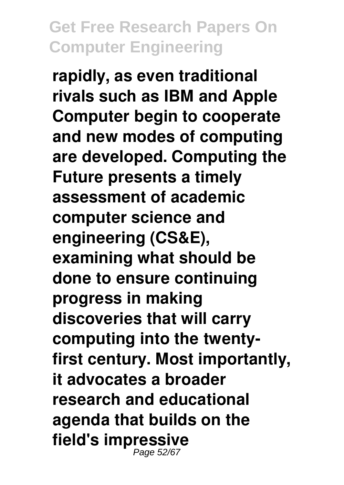**rapidly, as even traditional rivals such as IBM and Apple Computer begin to cooperate and new modes of computing are developed. Computing the Future presents a timely assessment of academic computer science and engineering (CS&E), examining what should be done to ensure continuing progress in making discoveries that will carry computing into the twentyfirst century. Most importantly, it advocates a broader research and educational agenda that builds on the field's impressive** Page 52/67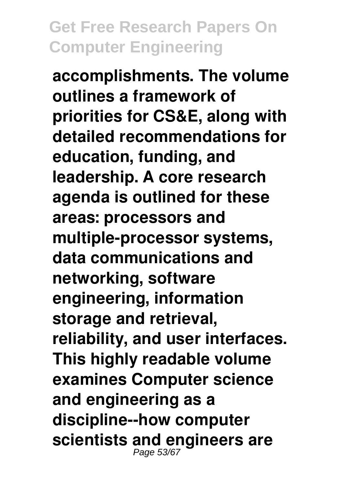**accomplishments. The volume outlines a framework of priorities for CS&E, along with detailed recommendations for education, funding, and leadership. A core research agenda is outlined for these areas: processors and multiple-processor systems, data communications and networking, software engineering, information storage and retrieval, reliability, and user interfaces. This highly readable volume examines Computer science and engineering as a discipline--how computer scientists and engineers are** Page 53/67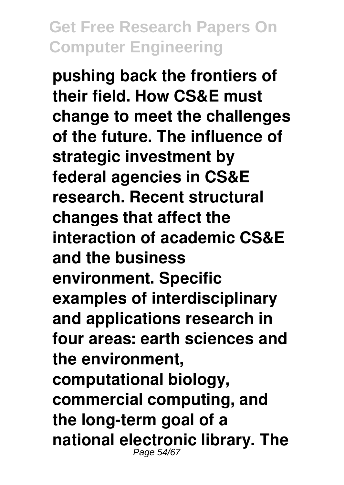**pushing back the frontiers of their field. How CS&E must change to meet the challenges of the future. The influence of strategic investment by federal agencies in CS&E research. Recent structural changes that affect the interaction of academic CS&E and the business environment. Specific examples of interdisciplinary and applications research in four areas: earth sciences and the environment, computational biology, commercial computing, and the long-term goal of a national electronic library. The** Page 54/67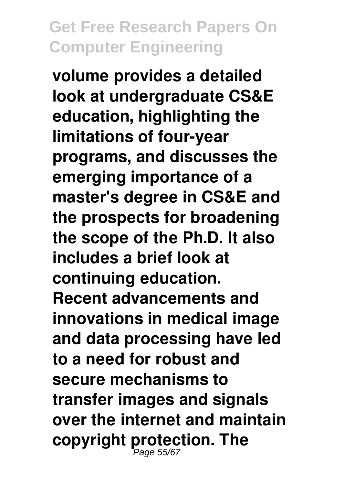**volume provides a detailed look at undergraduate CS&E education, highlighting the limitations of four-year programs, and discusses the emerging importance of a master's degree in CS&E and the prospects for broadening the scope of the Ph.D. It also includes a brief look at continuing education. Recent advancements and innovations in medical image and data processing have led to a need for robust and secure mechanisms to transfer images and signals over the internet and maintain copyright protection. The** Page 55/67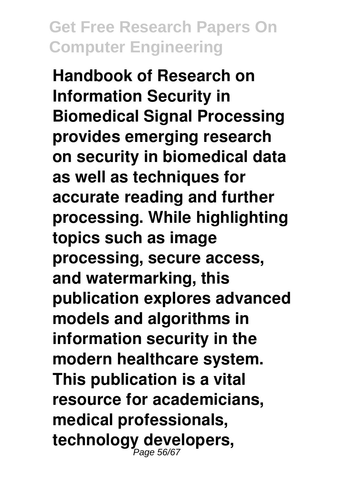**Handbook of Research on Information Security in Biomedical Signal Processing provides emerging research on security in biomedical data as well as techniques for accurate reading and further processing. While highlighting topics such as image processing, secure access, and watermarking, this publication explores advanced models and algorithms in information security in the modern healthcare system. This publication is a vital resource for academicians, medical professionals, technology developers,** Page 56/67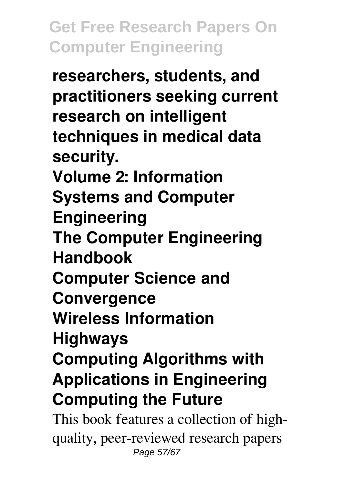**researchers, students, and practitioners seeking current research on intelligent techniques in medical data security. Volume 2: Information Systems and Computer Engineering The Computer Engineering Handbook Computer Science and Convergence Wireless Information Highways Computing Algorithms with Applications in Engineering Computing the Future** This book features a collection of high-

quality, peer-reviewed research papers Page 57/67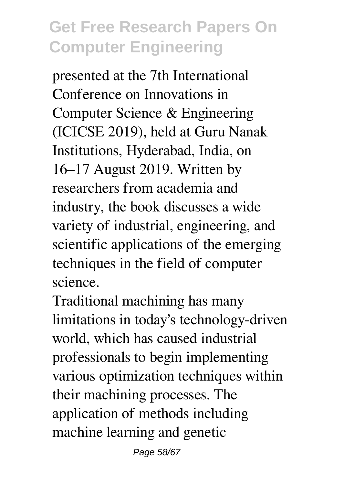presented at the 7th International Conference on Innovations in Computer Science & Engineering (ICICSE 2019), held at Guru Nanak Institutions, Hyderabad, India, on 16–17 August 2019. Written by researchers from academia and industry, the book discusses a wide variety of industrial, engineering, and scientific applications of the emerging techniques in the field of computer science.

Traditional machining has many limitations in today's technology-driven world, which has caused industrial professionals to begin implementing various optimization techniques within their machining processes. The application of methods including machine learning and genetic

Page 58/67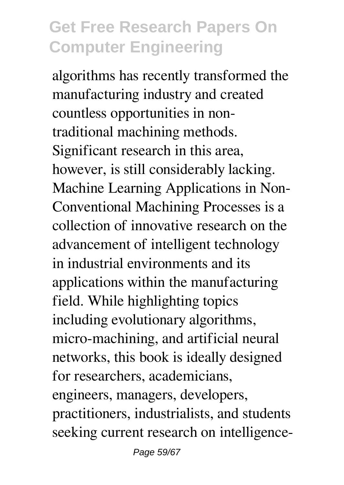algorithms has recently transformed the manufacturing industry and created countless opportunities in nontraditional machining methods. Significant research in this area, however, is still considerably lacking. Machine Learning Applications in Non-Conventional Machining Processes is a collection of innovative research on the advancement of intelligent technology in industrial environments and its applications within the manufacturing field. While highlighting topics including evolutionary algorithms, micro-machining, and artificial neural networks, this book is ideally designed for researchers, academicians, engineers, managers, developers, practitioners, industrialists, and students seeking current research on intelligence-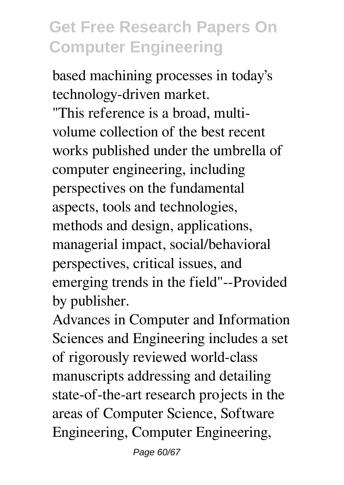based machining processes in today's technology-driven market.

"This reference is a broad, multivolume collection of the best recent works published under the umbrella of computer engineering, including perspectives on the fundamental aspects, tools and technologies, methods and design, applications, managerial impact, social/behavioral perspectives, critical issues, and emerging trends in the field"--Provided by publisher.

Advances in Computer and Information Sciences and Engineering includes a set of rigorously reviewed world-class manuscripts addressing and detailing state-of-the-art research projects in the areas of Computer Science, Software Engineering, Computer Engineering,

Page 60/67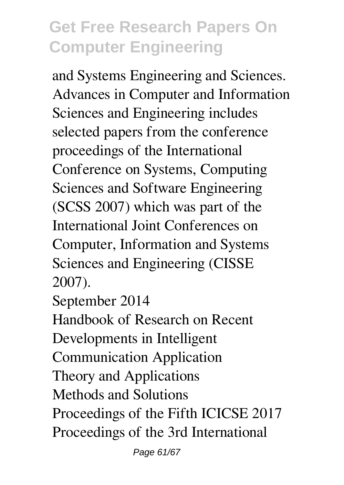and Systems Engineering and Sciences. Advances in Computer and Information Sciences and Engineering includes selected papers from the conference proceedings of the International Conference on Systems, Computing Sciences and Software Engineering (SCSS 2007) which was part of the International Joint Conferences on Computer, Information and Systems Sciences and Engineering (CISSE 2007).

September 2014

Handbook of Research on Recent Developments in Intelligent Communication Application Theory and Applications Methods and Solutions Proceedings of the Fifth ICICSE 2017 Proceedings of the 3rd International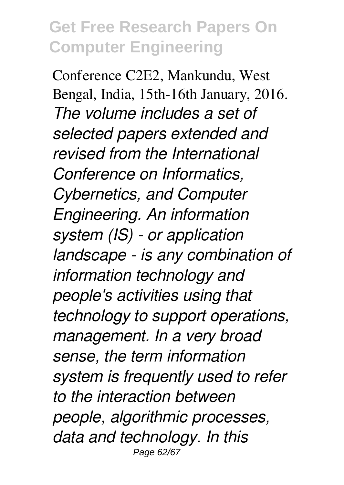Conference C2E2, Mankundu, West Bengal, India, 15th-16th January, 2016. *The volume includes a set of selected papers extended and revised from the International Conference on Informatics, Cybernetics, and Computer Engineering. An information system (IS) - or application landscape - is any combination of information technology and people's activities using that technology to support operations, management. In a very broad sense, the term information system is frequently used to refer to the interaction between people, algorithmic processes, data and technology. In this* Page 62/67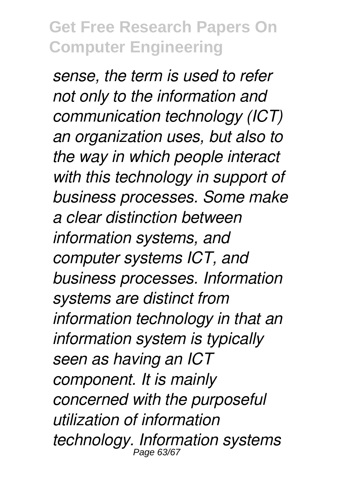*sense, the term is used to refer not only to the information and communication technology (ICT) an organization uses, but also to the way in which people interact with this technology in support of business processes. Some make a clear distinction between information systems, and computer systems ICT, and business processes. Information systems are distinct from information technology in that an information system is typically seen as having an ICT component. It is mainly concerned with the purposeful utilization of information technology. Information systems* Page 63/67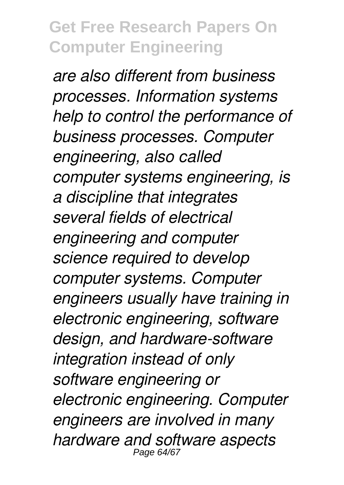*are also different from business processes. Information systems help to control the performance of business processes. Computer engineering, also called computer systems engineering, is a discipline that integrates several fields of electrical engineering and computer science required to develop computer systems. Computer engineers usually have training in electronic engineering, software design, and hardware-software integration instead of only software engineering or electronic engineering. Computer engineers are involved in many hardware and software aspects* Page 64/6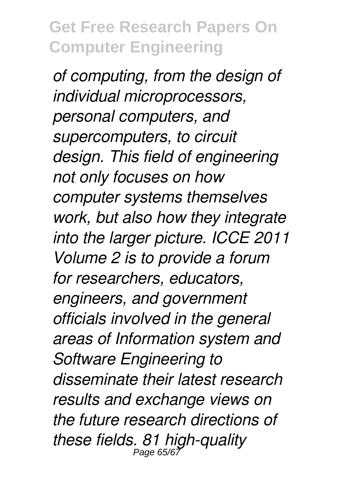*of computing, from the design of individual microprocessors, personal computers, and supercomputers, to circuit design. This field of engineering not only focuses on how computer systems themselves work, but also how they integrate into the larger picture. ICCE 2011 Volume 2 is to provide a forum for researchers, educators, engineers, and government officials involved in the general areas of Information system and Software Engineering to disseminate their latest research results and exchange views on the future research directions of these fields. 81 high-quality* Page 65/67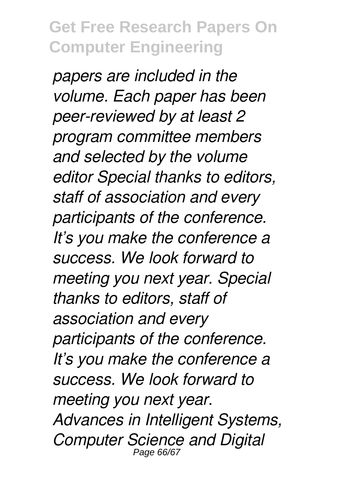*papers are included in the volume. Each paper has been peer-reviewed by at least 2 program committee members and selected by the volume editor Special thanks to editors, staff of association and every participants of the conference. It's you make the conference a success. We look forward to meeting you next year. Special thanks to editors, staff of association and every participants of the conference. It's you make the conference a success. We look forward to meeting you next year. Advances in Intelligent Systems, Computer Science and Digital* Page 66/67